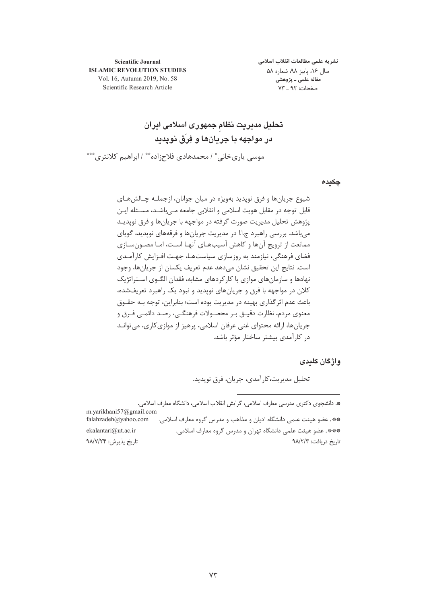نشريه علمى مطالعات انقلاب اسلامى سال ۱۶، پاییز ۹۸، شماره ۵۸ مقاله علمی ـ پژوهشی صفحات: ۹۲ \_ ۷۳

**Scientific Journal ISLAMIC REVOLUTION STUDIES** Vol. 16, Autumn 2019, No. 58 Scientific Research Article

تحلیل مدیریت نظام جمهوری اسلامی ایران در مواجهه با جریانها و فِرَق نوپدید موسی یاریخانی ٔ / محمدهادی فلاح;اده ٔ ٔ / ابراهیم کلانتری ٔ ٔ ٔ

چکیدہ

شيوع جريانها و فرق نويديد بهويژه در ميان جوانان، ازجملـه چـالشهـاي قابل توجه در مقابل هویت اسلامی و انقلابی جامعه مے باشـد، مسـئله ایـن پژوهش تحلیل مدیریت صورت گرفته در مواجهه با جریانها و فرق نوپدیـد می باشد. بررسی راهبرد ج.ا.ا در مدیریت جریانها و فرقههای نویدید، گویای ممانعت از ترویج آنها و کاهش آسیبهـای آنهـا اسـت، امـا مصـون سـازی فضای فرهنگی، نیازمند به روزسازی سیاستهـا، جهـت افـزایش کا, آمـدی است. نتايج اين تحقيق نشان مي دهد عدم تعريف يكسان از جريانها، وجود نهادها و سازمانهای موازی با کارکردهای مشابه، فقدان الگــوی اســتراتژیک کلان در مواجهه با فرق و جریانهای نوپدید و نبود یک راهبرد تعریفشده، باعث عدم اثر گذاری بهینه در مدیریت بوده است؛ بنابراین، توجه بـه حقــوق معنوی مردم، نظارت دقیــق بـر محصــولات فرهنگــی، رصــد دائمــی فــرق و جریانها، ارائه محتوای غنی عرفان اسلامی، پرهیز از موازی کاری، می توانـد د, کارآمدی بیشتر ساختار مؤثر باشد.

واژگان کلیدی

تحليل مديريت،كارآمدي، جريان، فرق نوپديد.

\*. دانشجوی دکتری مدرسی معارف اسلامی، گرایش انقلاب اسلامی، دانشگاه معارف اسلامی. m.yarikhani57@gmail.com falahzadeh@yahoo.com \*\*. عضو هيئت علمي دانشگاه اديان و مذاهب و مدرس گروه معارف اسلامي. ekalantari@ut.ac.ir \*\*\*\*. عضو هيئت علمي دانشگاه تهران و مدرس گروه معارف اسلامي. تاريخ يذيرش: ٩٨/٧/٢۴ تاريخ دريافت: ٩٨/٢/٣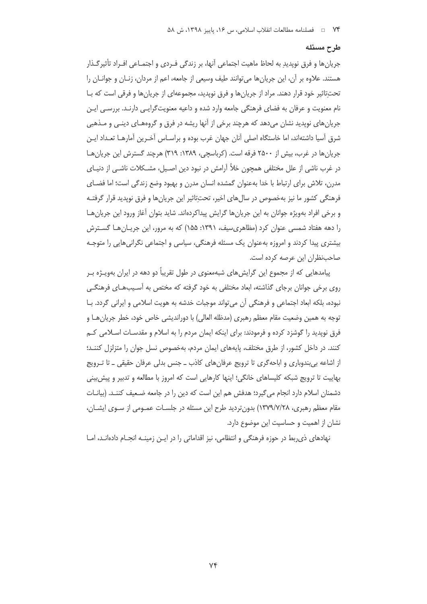#### طرح مسئله

جريانها و فرق نويديدِ به لحاظ ماهيت اجتماعي أنها، بر زندگي فـردي و اجتمـاعي افـراد تأثيرگـذار هستند. علاوه بر آن، این جریانها میتوانند طیف وسیعی از جامعه، اعم از مردان، زنـان و جوانــان را تحت تاثیر خود قرار دهند. مراد از جریان ها و فرق نویدید، مجموعهای از جریان ها و فرقی است که بـا نام معنویت و عرفان به فضای فرهنگی جامعه وارد شده و داعیه معنویت گرایـی دارنـد. بررسـی ایـن جریانهای نوپدید نشان میدهد که هرچند برخی از آنها ریشه در فرق و گروههـای دینـی و مـذهبی شرق آسیا داشتهاند، اما خاستگاه اصلی آنان جهان غرب بوده و براسـاس آخـرین آمارهـا تعـداد ایـن جريان ها در غرب، پيش از ۲۵۰۰ فرقه است. (كرباسچى، ۱۳۸۹: ۳۱۹) هرچند گسترش اين جريان هـا در غرب ناشی از علل مختلفی همچون خلأ آرامش در نبود دین اصـیل، مشــکلات ناشــی از دنیــای مدرن، تلاش براي ارتباط با خدا بهعنوان گمشده انسان مدرن و بهبود وضع زندگي است؛ اما فضـاي فرهنگی کشور ما نیز بهخصوص در سالهای اخیر، تحت¤ثیر این جریانها و فرق نوپدید قرار گرفتـه و برخی افراد بهویژه جوانان به این جریانها گرایش پیداکردهاند. شاید بتوان آغاز ورود این جریانهـا را دهه هفتاد شمسی عنوان کرد (مظاهریسیف، ۱۳۹۱: ۱۵۵) که به مرور، این جریـانهـا گسـترش بیشتری پیدا کردند و امروزه بهعنوان یک مسئله فرهنگی، سیاسی و اجتماعی نگرانیهایی را متوجـه صاحب نظران این عرصه کرده است.

پیامدهایی که از مجموع این گرایش های شبهمعنوی در طول تقریباً دو دهه در ایران بهویـژه بـر روی برخی جوانان برجای گذاشته، ابعاد مختلفی به خود گرفته که مختص به آسـیبهـای فرهنگـی نبوده، بلكه ابعاد اجتماعي و فرهنگي آن مي تواند موجبات خدشه به هويت اسلامي و ايراني گردد. بــا توجه به همين وضعيت مقام معظم رهبري (مدظله العالي) با دورانديشي خاص خود، خطر جريان هـا و فرق نوپدید را گوشزد کرده و فرمودند: برای اینکه ایمان مردم را به اسلام و مقدسـات اسـلامی کـم كنند. در داخل كشور، از طرق مختلف، پايههاى ايمان مردم، بهخصوص نسل جوان را متزلزل كننـد؛ از اشاعه بی بندوباری و اباحهگری تا ترویج عرفانهای کاذب ـ جنس بدلی عرفان حقیقی ـ تا تـرویج بهاییت تا ترویج شبکه کلیساهای خانگی؛ اینها کارهایی است که امروز با مطالعه و تدبیر و پیش بینی دشمنان اسلام دارد انجام می گیرد؛ هدفش هم این است که دین را در جامعه ضـعیف کننـد. (بیانــات مقام معظم رهبری، ۱۳۷۹/۷/۲۸) بدونتردید طرح این مسئله در جلسـات عمـومی از سـوی ایشـان، نشان از اهمیت و حساسیت این موضوع دارد.

نهادهای ذی ربط در حوزه فرهنگی و انتظامی، نیز اقداماتی را در ایـن زمینـه انجـام دادهانـد، امـا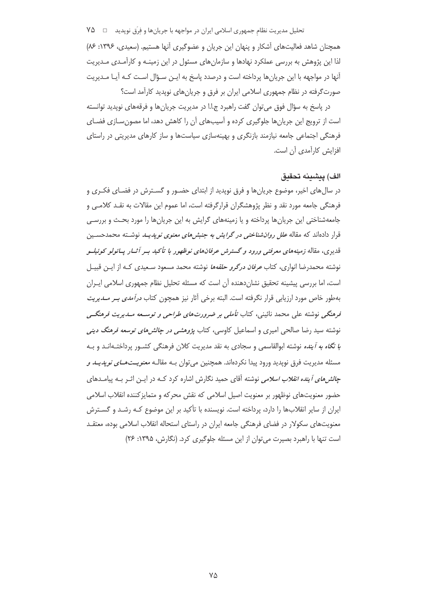تحلیل مدیریت نظام جمهوری اسلامی ایران در مواجهه با جریانها و فِرَق نوپدید □ ٧۵ همچنان شاهد فعالیتهای آشکار و پنهان این جریان و عضوگیری آنها هستیم. (سعیدی، ۱۳۹۶: ۸۶) لذا این پژوهش به بررسی عملکرد نهادها و سازمان های مسئول در این زمینـه و کارآمـدی مـدیریت آنها در مواجهه با این جریانها پرداخته است و درصدد پاسخ به ایـن سـؤال اسـت کـه آیـا مـدیریت صورت گرفته در نظام جمهوری اسلامی ایران بر فرق و جریان های نویدید کارآمد است؟

در پاسخ به سؤال فوق می توان گفت راهبرد ج.ا.ا در مدیریت جریان ها و فرقههای نویدید توانسته است از ترویج این جریانها جلوگیری کرده و آسیبهای آن را کاهش دهد، اما مصون سـازی فضـای فرهنگی اجتماعی جامعه نیازمند بازنگری و بهینهسازی سیاستها و ساز کارهای مدیریتی در راستای افزایش کارآمدی آن است.

## الف) ينشىنه تحقىق

در سال های اخیر، موضوع جریان ها و فرق نوپدید از ابتدای حضـور و گسـترش در فضـای فکـری و فرهنگی جامعه مورد نقد و نظر پژوهشگران قرارگرفته است، اما عموم این مقالات به نقـد کلامـی و جامعهشناختی این جریانها پرداخته و یا زمینههای گرایش به این جریانها را مورد بحـث و بررسـی قرار دادهاند که مقاله *علل روان شناختی در گرایش به جنبش های معنوی نویدیــد* نوشــته محمدحســین قدی<sub>ز</sub>ی، مقاله زمینههای معرفتبی ورود و گسترش عرفانهای نوظهور با تأکید بسر آثبار پسائولو کوئیلسو نوشته محمدرضا انواری، کتاب *عرفان درگرو حلقهها* نوشته محمد مسعود سـعیدی کـه از ایـن قبیـل است، اما بررسی پیشینه تحقیق نشان(دهنده آن است که مسئله تحلیل نظام جمهوری اسلامی ایـران بهطور خاص مورد ارزيابي قرار نگرفته است. البته برخي آثار نيز همچون كتاب *درآمدي بـر مــديريت* فرهنگی نوشته علی محمد نائینی، کتاب ت*أملی بر ضرورتهای طراحی و توسـعه مـدی*ریت فرهن*گے* نوشته سید رضا صالحی امیری و اسماعیل کاوسی، کتاب *پژوهشی در چالش های توسعه فرهنگ دینی* ب*ا نگاه به آینده* نوشته ابوالقاسمی و سجادی به نقد مدیریت کلان فرهنگی کشـور پرداختـهانـد و بـه مسئله مديريت فرق نوپديد ورود پيدا نكردهاند. همچنين مي توان بـه مقالـه *معنويـتـهــاي نويديـد و جالش های آینده انقلاب اسلامی* نوشته آقای حمید نگارش اشاره کرد کــه در ایــن اثــر بــه پیامــدهای حضور معنویتهای نوظهور بر معنویت اصیل اسلامی که نقش محرکه و متمایز کننده انقلاب اسلامی ایران از سایر انقلابها را دارد، پرداخته است. نویسنده با تأکید بر این موضوع کـه رشـد و گسـترش معنویتهای سکولار در فضای فرهنگی جامعه ایران در راستای استحاله انقلاب اسلامی بوده، معتقـد است تنها با راهبرد بصیرت می توان از این مسئله جلوگیری کرد. (نگارش، ۱۳۹۵: ۲۶)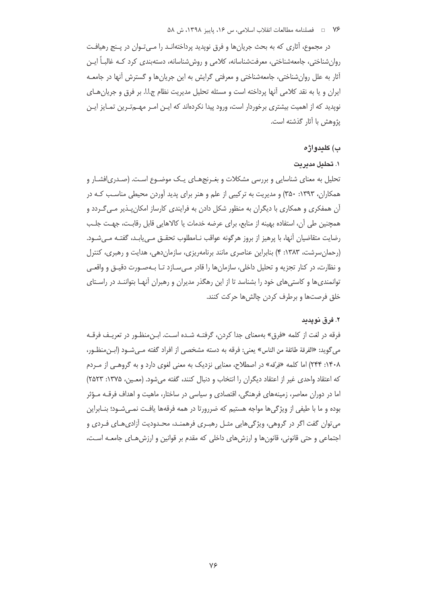در مجموع، آثاری که به بحث جریان ها و فرق نویدید پرداختهانـد را مـبیتـوان در پـنج رهیافـت روان شناختی، جامعه شناختی، معرفت شناسانه، کلامی و روش شناسانه، دسته بندی کرد کـه غالبـاً ایـن آثار به علل روان شناختی، جامعهشناختی و معرفتی گرایش به این جریان ها و گسترش آنها در جامعـه ایران و یا به نقد کلامی آنها پرداخته است و مسئله تحلیل مدیریت نظام ج.ا.ا. بر فرق و جریان هـای نویدید که از اهمیت بیشتری برخوردار است، ورود پیدا نکردهاند که ایـن امـر مهـمتـرین تمـایز ایـن يژوهش با آثار گذشته است.

#### ب) كليدواژه

#### ۱. تحلیل مدیریت

تحلیل به معنای شناسایی و بررسی مشکلات و بغـرنجهـای یـک موضـوع اسـت. (صـدری|فشـار و همکاران، ۱۳۹۳: ۳۵۰) و مدیریت به ترکیبی از علم و هنر برای پدید آوردن محیطی مناسب کـه در آن همفکری و همکاری با دیگران به منظور شکل دادن به فرایندی کارساز امکان بـذیر مـی *گـ*ردد و همچنین طی آن، استفاده بهینه از منابع، برای عرضه خدمات یا کالاهایی قابل رقابت، جهت جلب رضايت متقاضيان آنها، با پرهيز از بروز هرگونه عواقب نـامطلوب تحقـق مـى يابـد، گفتـه مـىشـود. (رحمان سرشت، ۱۳۸۳: ۴) بنابراین عناصری مانند برنامهریزی، سازمان دهی، هدایت و رهبری، کنترل و نظارت، در کنار تجزیه و تحلیل داخلی، سازمانها را قادر مے سازد تـا بـهصـورت دقیـق و واقعـی توانمندی ها و کاستی های خود را بشناسد تا از این رهگذر مدیران و رهبران آنهـا بتواننـد در راسـتای خلق فرصتها و برطرف كردن چالشها حركت كنند.

### ٢. فرق نويدىد

فرقه در لغت از کلمه «فرق» بهمعنای جدا کردن، گرفتـه شـده اسـت. ابـن،منظـور در تعریـف فرقـه مي گويد: «الفرقة طائفة من الناس» يعني: فرقه به دسته مشخصي از افراد گفته مـي شـود (ابـن منظـور، ۰۱۴۰۸: ۲۴۴) اما کلمه «فِرْقه» در اصطلاح، معنایی نزدیک به معنی لغوی دارد و به گروهبی از مـردم كه اعتقاد واحدى غير از اعتقاد ديگران را انتخاب و دنبال كنند، گفته مىشود. (معـين، ١٣٧۵: ٢٥٢٣) اما در دوران معاصر، زمینههای فرهنگی، اقتصادی و سیاسی در ساختار، ماهیت و اهداف فرقـه مـؤثر بوده و ما با طیفی از ویژگیها مواجه هستیم که ضررورتا در همه فرقهها یافت نمـیشـود؛ بنـابراین می توان گفت اگر در گروهی، ویژگیهایی مثـل رهبـری فرهمنـد، محـدودیت آزادیهـای فـردی و اجتماعی و حتی قانونی، قانونها و ارزشهای داخلی که مقدم بر قوانین و ارزشهای جامعـه اسـت،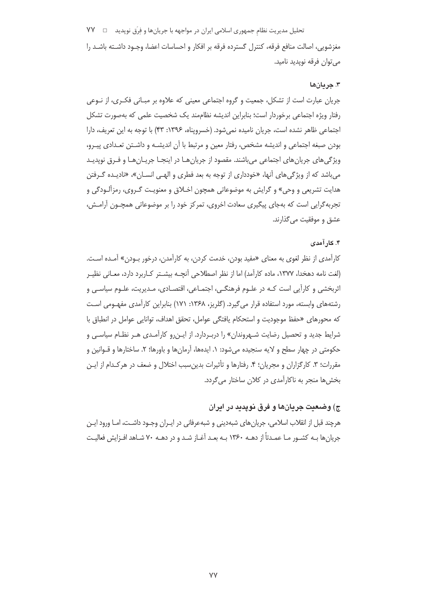تحلیل مدیریت نظام جمهوری اسلامی ایران در مواجهه با جریانها و فِرَق نوپدید ⊥⊡ **YY** مغزشويي، اصالت منافع فرقه، كنترل گسترده فرقه بر افكار و احساسات اعضا، وجـود داشــته باشــد را مى توان فرقه نوپديد ناميد.

### ۳. جريانها

جریان عبارت است از تشکل، جمعیت و گروه اجتماعی معینی که علاوه بر مبـانی فکـری، از نـوعی رفتار ویژه اجتماعی برخوردار است؛ بنابراین اندیشه نظاممند یک شخصیت علمی که بهصورت تشکل اجتماعي ظاهر نشده است، جريان ناميده نمي شود. (خسرويناه، ١٣٩۶: ۴۳) با توجه به اين تعريف، دارا بودن صبغه اجتماعی و اندیشه مشخص، رفتار معین و مرتبط با آن اندیشـه و داشـتن تعـدادی پیـرو، ویژگی های جریان های اجتماعی می باشند. مقصود از جریان هـا در اینجـا جریـان هـا و فـرق نویدیـد می باشد که از ویژگی های آنها، «خودداری از توجه به بعد فطری و الهـی انسـان»، «نادیـده گـرفتن هدایت تشریعی و وحی» و گرایش به موضوعاتی همچون اخـلاق و معنویـت گـروی، رمزآلـودگی و تجربه گرایی است که بهجای پیگیری سعادت اخروی، تمرکز خود را بر موضوعاتی همچـون آرامـش، عشق و موفقیت می گذارند.

## ۴. کار آمدی

كارآمدي از نظر لغوي به معناي «مفيد بودن، خدمت كردن، به كارآمدن، درخور بــودن» آمــده اسـت. (لغت نامه دهخدا، ۱۳۷۷، ماده کارآمد) اما از نظر اصطلاحی آنچــه بیشــتر کــاربرد دارد، معــانی نظیــر اثربخشی و کارآیی است کـه در علـوم فرهنگـی، اجتمـاعی، اقتصـادی، مـدیریت، علـوم سیاسـی و رشتههای وابسته، مورد استفاده قرار می گیرد. (گلریز، ۱۳۶۸: ۱۷۱) بنابراین کارآمدی مفهـومی اسـت كه محورهاي «حفظ موجوديت و استحكام يافتگي عوامل، تحقق اهداف، توانايي عوامل در انطباق با شرایط جدید و تحصیل رضایت شـهروندان» را دربـردارد. از ایـن٫رو کارآمـدی هـر نظـام سیاسـی و حکومتی در چهار سطح و لایه سنجیده می شود: ۱. ایدهها، آرمانها و باورها؛ ۲. ساختارها و قــوانین و مقررات؛ ٣. كارگزاران و مجريان؛ ۴. رفتارها و تأثيرات بدين سبب اختلال و ضعف در هركـدام از ايـن بخش ها منجر به ناکارآمدی در کلان ساختار می گردد.

## ج) وضعیت جریانها و فرق نویدید در ایران

هرچند قبل از انقلاب اسلامی، جریان های شبهدینی و شبهعرفانی در ایـران وجـود داشـت، امـا ورود ایـن جریان ها بـه کشـور مـا عمـدتاً از دهـه ۱۳۶۰ بـه بعـد آغـاز شـد و در دهـه ۷۰ شـاهد افـزایش فعالیـت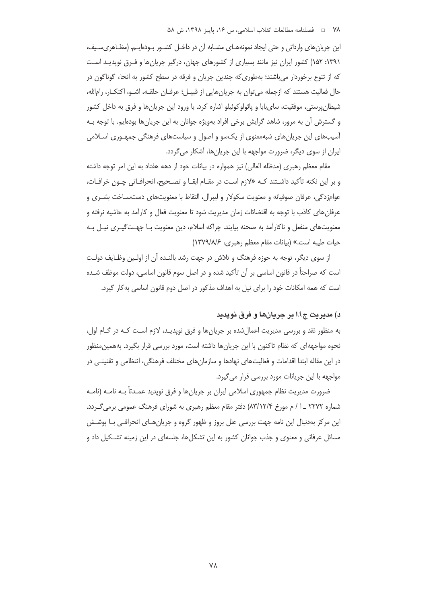این جریان های وارداتی و حتی ایجاد نمونههـای مشـابه آن در داخـل کشـور بـودهایـم. (مظـاهری،سـیف، ۱۳۹۱: ۱۵۲) کشور ایران نیز مانند بسیاری از کشورهای جهان، درگیر جریانها و فـرق نویدیـد اسـت که از تنوع برخوردار می باشند؛ بهطوری که چندین جریان و فرقه در سطح کشور به انحاء گوناگون در حال فعالیت هستند که ازجمله می توان به جریان هایی از قبیـل؛ عرفـان حلقـه، اشـو، اکنکـار، رامالله، شیطان پرستی، موفقیت، سای بابا و پائولو کوئیلو اشاره کرد. با ورود این جریان ها و فرق به داخل کشور و گسترش آن به مرور، شاهد گرایش برخی افراد بهویژه جوانان به این جریانها بودهایم. با توجه بـه آسیبهای این جریانهای شبهمعنوی از یکسو و اصول و سیاستهای فرهنگی جمهـوری اسـلامی ایران از سوی دیگر، ضرورت مواجهه با این جریانها، آشکار میگردد.

مقام معظم رهبری (مدظله العالی) نیز همواره در بیانات خود از دهه هفتاد به این امر توجه داشته و بر این نکته تأکید داشـتند کـه «لازم اسـت در مقـام ابقـا و تصـحیح، انحرافـاتی چـون خرافـات، عوامزدگی، عرفان صوفیانه و معنویت سکولار و لیبرال، التقاط با معنویتهای دستسـاخت بشـری و عرفانهای کاذب با توجه به اقتضائات زمان مدیریت شود تا معنویت فعال و کارآمد به حاشیه نرفته و معنویتهای منفعل و ناکارآمد به صحنه بیایند. چراکه اسلام، دین معنویت بـا جهـتگیـری نیـل بـه حيات طيبه است.» (بيانات مقام معظم رهبري، ١٣٧٩/٨/۶)

از سوی دیگر، توجه به حوزه فرهنگ و تلاش در جهت رشد بالنـده آن از اولـین وظـایف دولـت است که صراحتاً در قانون اساسی بر آن تأکید شده و در اصل سوم قانون اساسی، دولت موظف شـده است که همه امکانات خود را برای نیل به اهداف مذکور در اصل دوم قانون اساسی به کار گیرد.

### د) مديريت ج.ا.ا بر جريانها و فرق نوپديد

به منظور نقد و بررسی مدیریت اعمالِ شده بر جریانِ ها و فرق نوپدیـد، لازم اسـت کـه در گـام اول، نحوه مواجههای که نظام تاکنون با این جریانها داشته است، مورد بررسی قرار بگیرد. بههمین منظور در این مقاله ابتدا اقدامات و فعالیتهای نهادها و سازمانهای مختلف فرهنگی، انتظامی و تقنینـی در مواجهه با این جریانات مورد بررسی قرار میگیرد.

ضرورت مديريت نظام جمهوري اسلامي ايران بر جريانها و فرق نوپديد عمـدتاً بــه نامــه (نامــه شماره ۲۲۷۲ \_۱ / م مورخ ۸۳/۱۲/۴) دفتر مقام معظم رهبری به شورای فرهنگ عمومی برمی گردد. این مرکز بهدنبال این نامه جهت بررسی علل بروز و ظهور گروه و جریان هـای انحرافـی بـا پوشــش مسائل عرفانی و معنوی و جذب جوانان کشور به این تشکلها، جلسهای در این زمینه تشـکیل داد و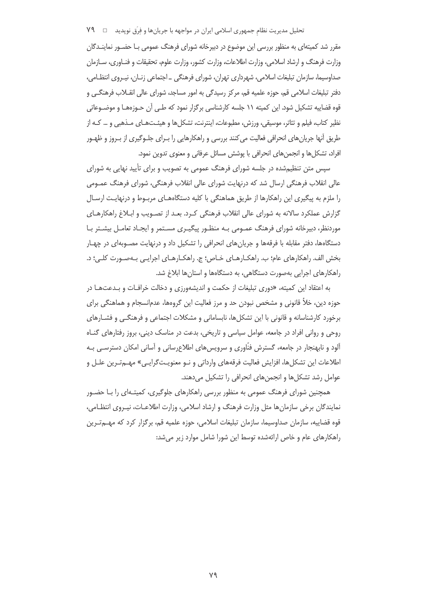تحلیل مدیریت نظام جمهوری اسلامی ایران در مواجهه با جریانها و فِرَق نوپدید □ ٧٩

مقرر شد کمیتهای به منظور بررسی این موضوع در دبیرخانه شورای فرهنگ عمومی بـا حضـور نماینـدگان وزارت فرهنگ و ارشاد اسلامی، وزارت اطلاعات، وزارت كشور، وزارت علوم، تحقيقات و فنـاورى، سـازمان صداوسیما، سازمان تبلیغات اسلامی، شهرداری تهران، شورای فرهنگی \_ اجتماعی زنـان، نیـروی انتظـامی، دفتر تبلیغات اسلامی قم، حوزه علمیه قم، مرکز رسیدگی به امور مساجد، شورای عالی انقــلاب فرهنگــی و قوه قضاییه تشکیل شود. این کمیته ۱۱ جلسه کارشناسی برگزار نمود که طـی آن حـوزههـا و موضـوعاتی نظیر کتاب، فیلم و تئاتر، موسیقی، ورزش، مطبوعات، اینترنت، تشکلها و هیئـتهـای مـذهبی و … کـه از طریق آنها جریان های انحرافی فعالیت می کنند بررسی و راهکارهایی را بـرای جلـوگیری از بـروز و ظهـور افراد، تشکلها و انجمنهای انحرافی با پوشش مسائل عرفانی و معنوی تدوین نمود.

سیس متن تنظیم شده در جلسه شورای فرهنگ عمومی به تصویب و برای تأیید نهایی به شورای عالی انقلاب فرهنگی ارسال شد که درنهایت شورای عالی انقلاب فرهنگی، شورای فرهنگ عمـومی را ملزم به پیگیری این راهکارها از طریق هماهنگی با کلیه دستگاههـای مربـوط و درنهایـت ارسـال گزارش عملکرد سالانه به شورای عالی انقلاب فرهنگی کـرد. بعـد از تصـویب و ابـلاغ راهکارهـای موردنظر، دبیرخانه شورای فرهنگ عمـومی بـه منظـور پیگیـری مسـتمر و ایجـاد تعامـل بیشـتر بـا دستگاهها، دفتر مقابله با فرقهها و جریانهای انحرافی را تشکیل داد و درنهایت مصـوبهای در چهـار بخش الف. راهکارهای عام؛ ب. راهکـارهـای خـاص؛ ج. راهکـارهـای اجرایـی بـهصـورت کلـی؛ د. راهکارهای اجرایی بهصورت دستگاهی، به دستگاهها و استانها ابلاغ شد.

به اعتقاد این کمیته، «دوری تبلیغات از حکمت و اندیشهورزی و دخالت خرافـات و بـدعتهـا در حوزه دین، خلأ قانونی و مشخص نبودن حد و مرز فعالیت این گروهها، عدم|نسجام و هماهنگی برای برخورد کارشناسانه و قانونی با این تشکلها، نابسامانی و مشکلات اجتماعی و فرهنگـی و فشـارهای روحی و روانی افراد در جامعه، عوامل سیاسی و تاریخی، بدعت در مناسک دینی، بروز رفتارهای گنـاه آلود و نابهنجار در جامعه، گسترش فنّاوری و سرویس های اطلاع رسانی و آسانی امکان دسترسـی بـه اطلاعات این تشکلها، افزایش فعالیت فرقههای وارداتی و نـو معنویـتگرایـی» مهـمتـرین علـل و عوامل رشد تشكلها و انجمنهای انحرافی را تشكيل می دهند.

همچنین شورای فرهنگ عمومی به منظور بررسی راهکارهای جلوگیری، کمیتـهای را بـا حضـور نمایندگان برخی سازمان ها مثل وزارت فرهنگ و ارشاد اسلامی، وزارت اطلاعـات، نیـروی انتظـامی، قوه قضاییه، سازمان صداوسیما، سازمان تبلیغات اسلامی، حوزه علمیه قم، برگزار کرد که مهــمتـرین راهکارهای عام و خاص ارائهشده توسط این شورا شامل موارد زیر می شد: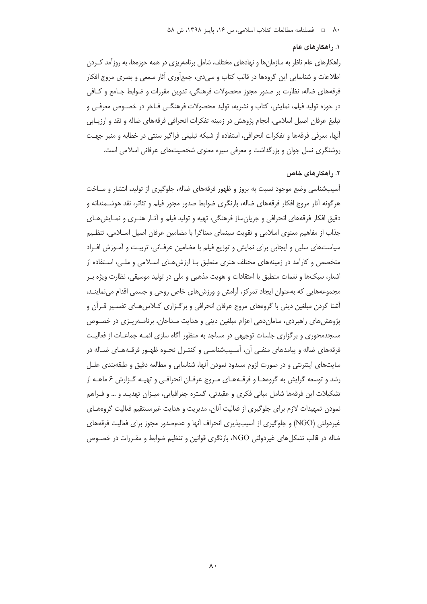#### ١. راهكارهاى عام

راهکارهای عام ناظر به سازمانها و نهادهای مختلف، شامل برنامهریزی در همه حوزهها، به روزآمد کـردن اطلاعات و شناسایی این گروهها در قالب کتاب و سی دی، جمعآوری آثار سمعی و بصری مروج افکار فرقههای ضاله، نظارت بر صدور مجوز محصولات فرهنگی، تدوین مقررات و ضوابط جـامع و کـافی در حوزه تولید فیلم، نمایش، کتاب و نشریه، تولید محصولات فرهنگے فـاخر در خصـوص معرفـی و تبليغ عرفان اصيل اسلامي، انجام پژوهش در زمينه تفكرات انحرافي فرقههاي ضاله و نقد و ارزيـابي أنها، معرفي فرقهها و تفكرات انحرافي، استفاده از شبكه تبليغي فراگير سنتي در خطابه و منبر جهت روشنگری نسل جوان و بزرگداشت و معرفی سپره معنوی شخصیتهای عرفانی اسلامی است.

#### ۲. راهکارهای خاص

آسیبشناسی وضع موجود نسبت به بروز و ظهور فرقههای ضاله، جلوگیری از تولید، انتشار و سـاخت هرگونه أثار مروج افكار فرقههاى ضاله، بازنگرى ضوابط صدور مجوز فيلم و تئاتر، نقد هوشـمندانه و دقیق افکار فرقههای انحرافی و جریانِساز فرهنگی، تهیه و تولید فیلم و آثـار هنـری و نمـایشهـای جذاب از مفاهیم معنوی اسلامی و تقویت سینمای معناگرا با مضامین عرفان اصیل اسلامی، تنظیم سیاستهای سلبی و ایجابی برای نمایش و توزیع فیلم با مضامین عرفـانی، تربیـت و آمـوزش افـراد متخصص و کارآمد در زمینههای مختلف هنری منطبق بـا ارزشهـای اسـلامی و ملـی، اسـتفاده از اشعار، سبکها و نغمات منطبق با اعتقادات و هویت مذهبی و ملی در تولید موسیقی، نظارت ویژه بـر مجموعههایی که بهعنوان ایجاد تمرکز، آرامش و ورزشهای خاص روحی و جسمی اقدام می نماینـد، آشنا کردن مبلغین دینی با گروههای مروج عرفان انحرافی و برگـزاری کـلاسهـای تفسـیر قـرآن و پژوهش های راهبردی، سامان دهی اعزام مبلغین دینی و هدایت مـداحان، برنامـهریـزی در خصـوص مسجدمحوری و برگزاری جلسات توجیهی در مساجد به منظور آگاه سازی ائمـه جماعـات از فعالیـت فرقههای ضاله و پیامدهای منفـی آن، آسـیبِشناسـی و کنتـرل نحـوه ظهـور فرقـههـای ضـاله در سایتهای اینترنتی و در صورت لزوم مسدود نمودن آنها، شناسایی و مطالعه دقیق و طبقهبندی علـل رشد و توسعه گرایش به گروههـا و فرقـههـای مـروج عرفـان انحرافـی و تهیـه گـزارش ۶ ماهـه از تشکیلات این فرقهها شامل مبانی فکری و عقیدتی، گستره جغرافیایی، میـزان تهدیـد و … و فـراهم نمودن تمهیدات لازم برای جلوگیری از فعالیت آنان، مدیریت و هدایت غیرمستقیم فعالیت گروههـای غیردولتی (NGO) و جلوگیری از آسیبیذیری انحراف آنها و عدمصدور مجوز برای فعالیت فرقههای ضاله در قالب تشکل های غیردولتی NGO، بازنگری قوانین و تنظیم ضوابط و مقـررات در خصـوص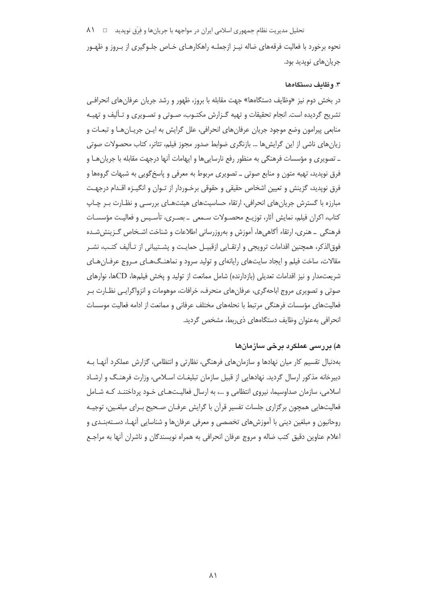تحلیل مدیریت نظام جمهوری اسلامی ایران در مواجهه با جریانها و فِرَق نوپدید □ ۸۱

نحوه برخورد با فعالیت فرقههای ضاله نیـز ازجملـه راهکارهـای خـاص جلـوگیری از بـروز و ظهـور جريان هاي نويديد بود.

#### ٣. وظايف دستگاهها

در بخش دوم نیز «وظایف دستگاهها» جهت مقابله با بروز، ظهور و رشد جریان عرفان های انحراف*ی* تشریح گردیده است. انجام تحقیقات و تهیه گـزارش مکتـوب، صـوتی و تصـویری و تـألیف و تهیـه منابعي پيرامون وضع موجود جريان عرفانهاي انحرافي، علل گرايش به ايـن جريـانهـا و تبعـات و زیانِ های ناشی از این گرایش ها … بازنگری ضوابط صدور مجوز فیلم، تئاتر، کتاب محصولات صوتی ـ تصویری و مؤسسات فرهنگی به منظور رفع نارسایی ها و ایهامات آنها درجهت مقابله با جریان هـا و فرق نویدید، تهیه متون و منابع صوتی ــ تصویری مربوط به معرفی و پاسخ گویی به شبهات گروهها و فرق نويديد، گزينش و تعيين اشخاص حقيقي و حقوقي برخـوردار از تـوان و انگيــزه اقــدام درجهــت مبارزه با گسترش جریانهای انحرافی، ارتقاء حساسیتهای هیئتهـای بررسـی و نظـارت بـر چـاپ كتاب، اكران فيلم، نمايش آثار، توزيـع محصـولات سـمعى \_ بصـرى، تأسـيس و فعاليـت مؤسسـات فرهنگی \_ هنری، ارتقاء آگاهی۱ها، آموزش و بهروزرسانی اطلاعات و شناخت اشـخاص گـزینششـده فوق|لذکر، همچنین اقدامات ترویجی و ارتقـایی ازقبیـل حمایـت و پشــتیبانی از تـألیف کتـب، نشـر مقالات، ساخت فیلم و ایجاد سایتهای رایانهای و تولید سرود و نماهنگهـای مـروج عرفـانهـای شريعت مدار و نيز اقدامات تعديلي (بازدارنده) شامل ممانعت از توليد و يخش فيلمها، CDها، نوارهاي صوتی و تصویری مروج اباحه گری، عرفانهای منحرف، خرافات، موهومات و انزواگرایـی نظـارت بـر فعالیتهای مؤسسات فرهنگی مرتبط با نحلههای مختلف عرفانی و ممانعت از ادامه فعالیت موسسات انحرافی بهعنوان وظایف دستگاههای ذی ربط، مشخص گردید.

# ه) بررسی عملکرد برخی سازمانها

بهدنبال تقسیم کار میان نهادها و سازمان های فرهنگی، نظارتی و انتظامی، گزارش عملکرد آنهـا بـه دبیرخانه مذکور ارسال گردید. نهادهایی از قبیل سازمان تبلیغـات اسـلامی، وزارت فرهنـگ و ارشـاد اسلامی، سازمان صداوسیما، نیروی انتظامی و …، به ارسال فعالیـتهـای خـود پرداختنـد کـه شـامل فعالیتهایی همچون برگزاری جلسات تفسیر قرآن با گرایش عرفـان صـحیح بـرای مبلغـین، توجیـه روحانیون و مبلغین دینی با آموزش های تخصصی و معرفی عرفان ها و شناسایی آنهـا، دسـتهبنـدی و اعلام عناوين دقيق كتب ضاله و مروج عرفان انحرافي به همراه نويسندگان و ناشران آنها به مراجـع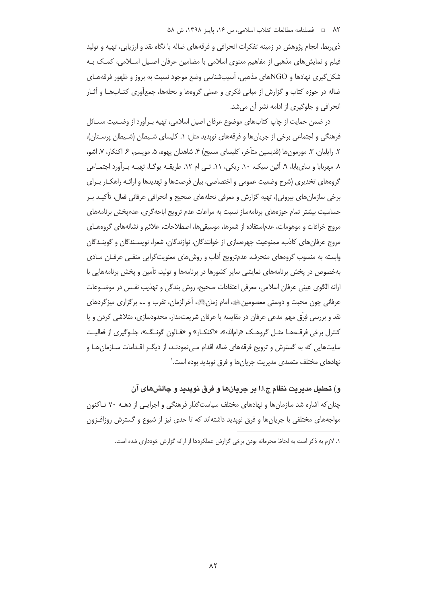ذي ربط، انجام پژوهش در زمينه تفكرات انحرافي و فرقههاي ضاله با نگاه نقد و ارزيابي، تهيه و توليد فیلم و نمایش های مذهبی از مفاهیم معنوی اسلامی با مضامین عرفان اصـیل اسـلامی، کمـک بـه شکل گیری نهادها و NGOهای مذهبی، آسیبشناسی وضع موجود نسبت به بروز و ظهور فرقههـای ضاله در حوزه کتاب و گزارش از مبانی فکری و عملی گروهها و نحلهها، جمعآوری کتـابـهـا و آثـار انحرافی و جلوگیری از ادامه نشر آن می شد.

در ضمن حمایت از چاپ کتابهای موضوع عرفان اصیل اسلامی، تهیه بـرآورد از وضـعیت مسـائل فرهنگی و اجتماعی برخی از جریان ها و فرقههای نوپدید مثل: ۱. کلیسای شـیطان (شـیطان پرسـتان)، ٢. رايليان، ٣. مورمون ها (قديسين متأخر، كليساي مسيح) ۴. شاهدان يهوه، ۵. مويسم، ۶. اكنكار، ٧. اشو، ٨. مهربابا و ساي بابا، ٩. آئين سيک، ١٠. ريکي، ١١. تـي ام ١٢. طريقـه پوگـا، تهيـه بـرآورد اجتمـاعي گروههای تخدیری (شرح وضعیت عمومی و اختصاصی، بیان فرصتها و تهدیدها و ارائـه راهکـار بـرای برخي سازمان هاي بيروني)، تهيه گزارش و معرفي نحلههاي صحيح و انحرافي عرفاني فعال، تأكيـد بـر حساسیت بیشتر تمام حوزههای برنامهساز نسبت به مراعات عدم ترویج اباحهگری، عدمیخش برنامههای مروج خرافات و موهومات، عدم|ستفاده از شعرها، موسيقى ها، اصطلاحات، علائم و نشانههاى گروههـاى مروج عرفان های کاذب، ممنوعیت چهرهسازی از خوانندگان، نوازندگان، شعرا، نویسـندگان و گوینـدگان وابسته به منسوب گروههای منحرف، عدمترویج آداب و روشهای معنویتگرایی منفـی عرفـان مـادی بهخصوص در پخش برنامههای نمایشی سایر کشورها در برنامهها و تولید، تأمین و پخش برنامههایی با ارائه الگوی عینی عرفان اسلامی، معرفی اعتقادات صحیح، روش بندگی و تهذیب نفس در موضـوعات عرفاني چون محبت و دوستي معصومين ﷺ امام زمانﷺ، آخرالزمان، تقرب و …، برگزاري ميزگردهاي نقد و بررسی فِرق مهم مدعی عرفان در مقایسه با عرفان شریعتمدار، محدودسازی، متلاشی کردن و یا کنترل برخی فرقـههـا مثـل گروهـک «رام|لله»، «اکنکـار» و «فـالون گونـگ»، جلـوگیری از فعالیـت سایتهایی که به گسترش و ترویج فرقههای ضاله اقدام مـی;نمودنـد، از دیگـر اقـدامات سـازمانِهـا و نهادهای مختلف متصدی مدیریت جریانها و فرق نویدید بوده است.`

و) تحليل مديريت نظام ج.ا.ا بر جريانها و فرق نوپديد و چالشهای آن چنان که اشاره شد سازمانها و نهادهای مختلف سیاستگذار فرهنگی و اجرایی از دهـه ۷۰ تـاکنون مواجههای مختلفی با جریان ها و فرق نویدید داشتهاند که تا حدی نیز از شیوع و گسترش روزافـزون

١. لازم به ذكر است به لحاظ محرمانه بودن برخي گزارش عملكردها از ارائه گزارش خودداري شده است.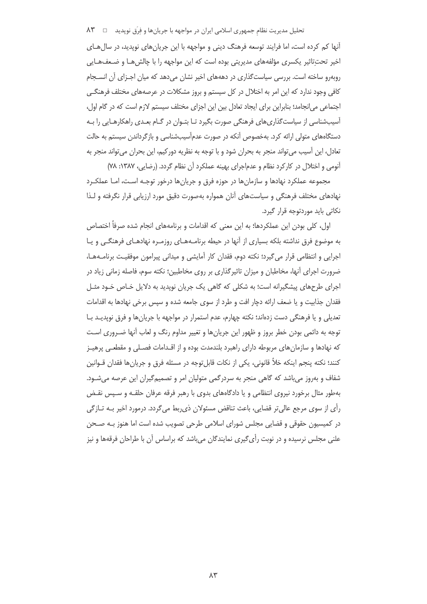#### تحلیل مدیریت نظام جمهوری اسلامی ایران در مواجهه با جریانها و فِرَق نوپدید □ ۸۳

آنها کم کرده است، اما فرایند توسعه فرهنگ دینی و مواجهه با این جریان های نویدید، در سال هـای اخیر تحتِتاثیر یکسری مؤلفههای مدیریتی بوده است که این مواجهه را با چالشهـا و ضـعفهـایی روبهرو ساخته است. بررسی سیاستگذاری در دهههای اخیر نشان می دهد که میان اجـزای آن انسـجام کافی وجود ندارد که این امر به اختلال در کل سیستم و بروز مشکلات در عرصههای مختلف فرهنگے اجتماعی می|نجامد؛ بنابراین برای ایجاد تعادل بین این اجزای مختلف سیستم لازم است که در گام او| ، آسیبشناسی از سیاست گذاری های فرهنگی صورت بگیرد تـا بتـوان در گـام بعـدی راهکارهـایی را بـه دستگاههای متولی ارائه کرد. بهخصوص آنکه در صورت عدمآسیبشناسی و بازگرداندن سیستم به حالت تعادل، این اَسیب میتواند منجر به بحران شود و با توجه به نظریه دورکیم، این بحران میتواند منجر به آنومی و اختلال در کارکرد نظام و عدماجرای بهینه عملکرد آن نظام گردد. (رضایی، ۱۳۸۷: ۷۸)

مجموعه عملکرد نهادها و سازمانها در حوزه فرق و جریانها درخور توجـه اسـت، امـا عملکـرد نهادهای مختلف فرهنگی و سیاستهای آنان همواره بهصورت دقیق مورد ارزیابی قرار نگرفته و لـذا نکاتی باید موردتوجه قرار گیرد.

اول، كلي بودن اين عملكردها؛ به اين معنى كه اقدامات و برنامههاي انجام شده صرفاً اختصاص به موضوع فرق نداشته بلکه بسیاری از آنها در حیطه برنامـههـای روزمـره نهادهـای فرهنگـی و پـا اجرایی و انتظامی قرار می گیرد؛ نکته دوم، فقدان کار آمایشی و میدانی پیرامون موفقیت برنامـههـا، ضرورت اجرای آنها، مخاطبان و میزان تاثیرگذاری بر روی مخاطبین؛ نکته سوم، فاصله زمانی زیاد در اجرای طرحهای پیشگیرانه است؛ به شکلی که گاهی یک جریان نویدید به دلایل خـاص خـود مثـل فقدان جذابيت و يا ضعف ارائه دچار افت و طرد از سوى جامعه شده و سپس برخى نهادها به اقدامات تعدیلی و یا فرهنگی دست زدهاند؛ نکته چهارم، عدم استمرار در مواجهه با جریانها و فرق نویدیـد بـا توجه به دائمی بودن خطر بروز و ظهور این جریانها و تغییر مداوم رنگ و لعاب أنها ضـروری اسـت که نهادها و سازمان های مربوطه دارای راهبرد بلندمدت بوده و از اقـدامات فصـلی و مقطعـی پرهیـز كنند؛ نكته پنجم اينكه خلاً قانوني، يكي از نكات قابلٍ توجه در مسئله فرق و جريانٍها فقدان قــوانين شفاف و بهروز می باشد که گاهی منجر به سردرگمی متولیان امر و تصمیمگیران این عرصه می شـود. بهطور مثال برخورد نیروی انتظامی و یا دادگاههای بدوی با رهبر فرقه عرفان حلقـه و سـپس نقـض رأي از سوي مرجع عالي تر قضايي، باعث تناقض مسئولان ذي بط مي گردد. درمورد اخير بـه تـاز گي در کمیسیون حقوقی و قضایی مجلس شورای اسلامی طرحی تصویب شده است اما هنوز بـه صـحن علنی مجلس نرسیده و در نوبت رأی گیری نمایندگان می باشد که براساس آن با طراحان فرقهها و نیز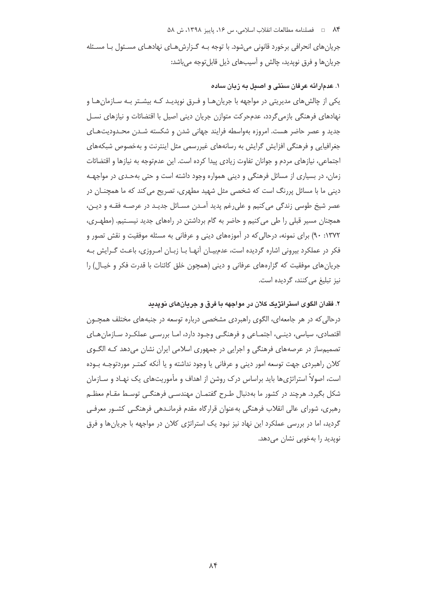#### ۸۴ = فصلنامه مطالعات انقلاب اسلامی، س ۱۶، پاییز ۱۳۹۸، ش ۵۸

جریان های انحرافی برخورد قانونی میشود. با توجه بـه گـزارش هـای نهادهـای مسـئول بـا مسـئله جریانها و فرق نوپدید، چالش و آسیبهای ذیل قابل توجه میباشد:

## ١. عدمار ائه عرفان سنتي و اصبل به زبان ساده

یکی از چالش های مدیریتی در مواجهه با جریان هـا و فـرق نویدیـد کـه بیشـتر بـه سـازمان هـا و نهادهای فرهنگی بازمی گردد، عدمحرکت متوازن جریان دینی اصیل با اقتضائات و نیازهای نسـل جدید و عصر حاضر هست. امروزه بهواسطه فرایند جهانی شدن و شکسته شـدن محـدودیتهـای جغرافیایی و فرهنگی افزایش گرایش به رسانههای غیررسمی مثل اینترنت و بهخصوص شبکههای اجتماعی، نیازهای مردم و جوانان تفاوت زیادی پیدا کرده است. این عدمتوجه به نیازها و اقتضائات زمان، در بسیاری از مسائل فرهنگی و دینی همواره وجود داشته است و حتی به حدی در مواجهـه دینی ما با مسائل پررنگ است که شخصی مثل شهید مطهری، تصریح می کند که ما همچنــان در عصر شیخ طوسی زندگی می کنیم و علی رغم پدید آمـدن مسـائل جدیـد در عرصـه فقـه و دیـن، همچنان مسیر قبلی را طی می کنیم و حاضر به گام برداشتن در راههای جدید نیستیم. (مطهـری، ۹۰ :۱۳۷۲) برای نمونه، درحالی که در آموزههای دینی و عرفانی به مسئله موفقیت و نقش تصور و فکر در عملکرد بیرونی اشاره گردیده است، عدمییـان آنهـا بـا زبـان امـروزی، باعـث گـرایش بـه جریان های موفقیت که گزارههای عرفانی و دینی (همچون خلق کائنات با قدرت فکر و خیـال) را نیز تبلیغ مے کنند، گردیده است.

۲. فقدان الگوی استراتژیک کلان در مواجهه با فرق و جریانهای نویدید

درحالی که در هر جامعهای، الگوی راهبردی مشخصی درباره توسعه در جنبههای مختلف همچــون اقتصادی، سیاسی، دینـی، اجتمـاعی و فرهنگـی وجـود دارد، امـا بررسـی عملکـرد سـازمان۱هـای تصمیمساز در عرصههای فرهنگی و اجرایی در جمهوری اسلامی ایران نشان می دهد کـه الگـوی کلان راهبردی جهت توسعه امور دینی و عرفانی یا وجود نداشته و یا آنکه کمتـر موردتوجـه بـوده است، اصولاً استراتژیها باید براساس درک روشن از اهداف و مأموریتهای یک نهـاد و سـازمان شکل بگیرد. هرچند در کشور ما بهدنبال طـرح گفتمـان مهندسـی فرهنگـی توسـط مقـام معظـم رهبري، شوراي عالي انقلاب فرهنگي به عنوان قرارگاه مقدم فرمانـدهي فرهنگـي كشـور معرفـي گردید، اما در بررسی عملکرد این نهاد نیز نبود یک استراتژی کلان در مواجهه با جریان ها و فرق نوپدید را بهخوبی نشان میدهد.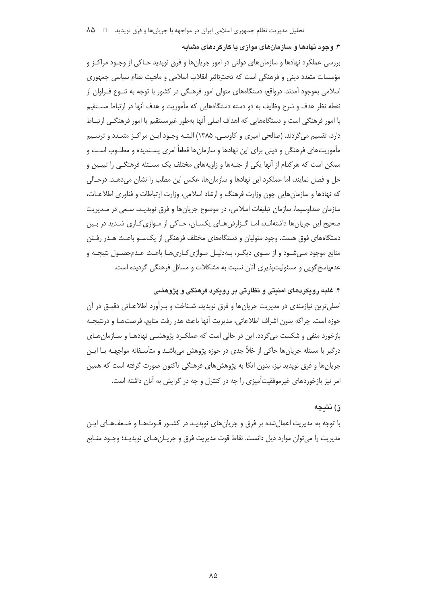۳. وجود نهادها و سازمانهای موازی با کارکردهای مشابه

بررسی عملکرد نهادها و سازمانهای دولتی در امور جریانها و فرق نویدید حـاکی از وجـود مراکـز و مؤسسات متعدد دینی و فرهنگی است که تحت¤اثیر انقلاب اسلامی و ماهیت نظام سیاسی جمهوری اسلامی بهوجود آمدند. درواقع، دستگاههای متولی امور فرهنگی در کشور با توجه به تنـوع فـراوان از نقطه نظر هدف و شرح وظایف به دو دسته دستگاههایی که مأموریت و هدف آنها در ارتباط مسـتقیم با امور فرهنگی است و دستگاههایی که اهداف اصلی آنها بهطور غیرمستقیم با امور فرهنگے ،ارتبـاط دارد، تقسیم میگردند. (صالحی امیری و کاوسـی، ۱۳۸۵) البتـه وجـود ایـن مراکـز متعـدد و ترسـیم مأموریتهای فرهنگی و دینی برای این نهادها و سازمانها قطعاً امری پسـندیده و مطلـوب اسـت و ممکن است که هرکدام از آنها یکی از جنبهها و زاویههای مختلف یک مسـئله فرهنگـی را تبیـین و حل و فصل نمایند، اما عملکرد این نهادها و سازمانها، عکس این مطلب را نشان میدهـد. درحـالی که نهادها و سازمانهایی چون وزارت فرهنگ و ارشاد اسلامی، وزارت ارتباطات و فناوری اطلاعـات، سازمان صداوسيما، سازمان تبليغات اسلامي، در موضوع جريانها و فرق نويديـد، سـعي در مـديريت صحیح این جریان ها داشتهانـد، امـا گـزارش هـای یکسـان، حـاکی از مـوازی کـاری شـدید در بـین دستگاههای فوق هست. وجود متولیان و دستگاههای مختلف فرهنگی از یکسـو باعـث هـدر رفـتن منابع موجود مـیشـود و از سـوی دیگـر، بـهدلیـل مـوازی کـاری۱هـا باعـث عـدمحصـول نتیجـه و عدمیاسخ گویی و مسئولیت پذیری آنان نسبت به مشکلات و مسائل فرهنگی گردیده است.

۴. غلبه رویکردهای امنیتی و نظارتی بر رویکرد فرهنگی و پژوهشی

اصلی ترین نیازمندی در مدیریت جریان ها و فرق نویدید، شـناخت و بـرآورد اطلاعــاتی دقیــق در آن حوزه است. چراکه بدون اشراف اطلاعاتی، مدیریت آنها باعث هدر رفت منابع، فرصتهـا و درنتیجـه بازخورد منفی و شکست می گردد. این در حالی است که عملک رد پژوهشـی نهادهـا و سـازمان هـای درگیر با مسئله جریان ها حاکی از خلأ جدی در حوزه پژوهش می باشـد و متأسـفانه مواجهــه بــا ایــن جريانها و فرق نويديد نيز، بدون اتكا به پژوهش هاي فرهنگي تاكنون صورت گرفته است كه همين امر نیز بازخوردهای غیرموفقیتآمیزی را چه در کنترل و چه در گرایش به آنان داشته است.

## ز) نتىجە

با توجه به مدیریت اعمال شده بر فرق و جریان های نوپدیـد در کشـور قـوتهـا و ضـعفهـای ایـن مديريت را مي توان موارد ذيل دانست. نقاط قوت مديريت فرق و جريـان هـاي نوپديـد؛ وجـود منـابع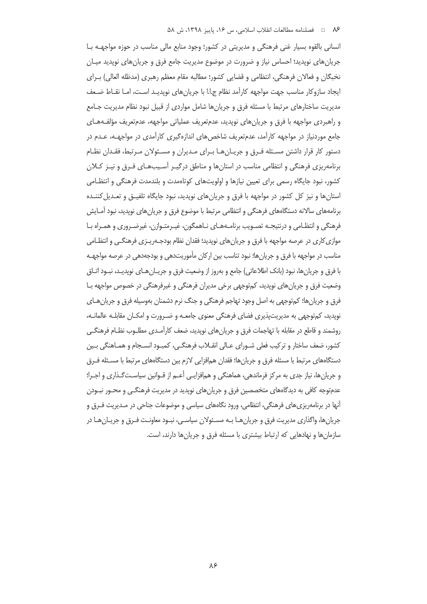انسانی بالقوه بسیار غنی فرهنگی و مدیریتی در کشور؛ وجود منابع مالی مناسب در حوزه مواجهـه بـا جریان های نوپدید؛ احساس نیاز و ضرورت در موضوع مدیریت جامع فرق و جریان های نوپدید میـان نخبگان و فعالان فرهنگی، انتظامی و قضایی کشور؛ مطالبه مقام معظم رهبری (مدظله العالی) بـرای ایجاد سازوکار مناسب جهت مواجهه کارآمد نظام ج.ا.ا با جریانهای نویدیـد اسـت، امـا نقــاط ضـعف مدیریت ساختارهای مرتبط با مسئله فرق و جریانها شامل مواردی از قبیل نبود نظام مدیریت جـامع و راهبردی مواجهه با فرق و جریانهای نویدید، عدمتعریف عملیاتی مواجهه، عدمتعریف مؤلفـههـای جامع موردنیاز در مواجهه کارآمد، عدمتعریف شاخص های اندازهگیری کارآمدی در مواجهــه، عــدم در دستور کار قرار داشتن مسـئله فـرق و جريـانهـا بـراى مـديران و مسـئولان مـرتبط، فقـدان نظـام برنامهریزی فرهنگی و انتظامی مناسب در استان ها و مناطق درگیـر آسـیبهـای فـرق و نیـز کـلان کشور، نبود جایگاه رسمی برای تعیین نیازها و اولویتهای کوتاهمدت و بلندمدت فرهنگی و انتظـامی استان ها و نیز کل کشور در مواجهه با فرق و جریان های نویدید، نبود جایگاه تلفیــق و تعــدیل کننــده برنامههای سالانه دستگاههای فرهنگی و انتظامی مرتبط با موضوع فرق و جریانهای نوپدید، نبود آمـایش فرهنگی و انتظـامی و درنتیجـه تصـویب برنامـههـای نـاهمگون، غیـرمتـوازن، غیرضـروری و همـراه بـا موازی کاری در عرصه مواجهه با فرق و جریان های نویدید؛ فقدان نظام بودجـهریــزی فرهنگــی و انتظـامی مناسب در مواجهه با فرق و جریانها؛ نبود تناسب بین ارکان مأموریتدهی و بودجهدهی در عرصه مواجهـه با فرق و جريانها، نبود (بانک اطلاعاتی) جامع و بهروز از وضعيت فرق و جريـان هـاي نويديـد، نبـود اتـاق وضعیت فرق و جریان های نویدید، کمتوجهی برخی مدیران فرهنگی و غیرفرهنگی در خصوص مواجهه بـا فرق و جریانها؛ کمتوجهی به اصل وجود تهاجم فرهنگی و جنگ نرم دشمنان بهوسیله فرق و جریان هـای نویدید، کمتوجهی به مدیریتپذیری فضای فرهنگی معنوی جامعـه و ضـرورت و امکـان مقابلـه عالمانـه، روشمند و قاطع در مقابله با تهاجمات فرق و جریانهای نوپدید، ضعف کارآمـدی مطلــوب نظــام فرهنگــی کشور، ضعف ساختار و ترکیب فعلی شـورای عـالی انقـلاب فرهنگـی، کمبـود انسـجام و همـاهنگی بـین دستگاههای مرتبط با مسئله فرق و جریانها؛ فقدان همافزایی لازم بین دستگاههای مرتبط با مسـئله فـرق و جریانها، نیاز جدی به مرکز فرماندهی، هماهنگی و همافزایـی أعـم از قـوانین سیاسـتگـذاری و اجـرا؛ عدمتوجه کافی به دیدگاههای متخصصین فرق و جریانهای نوپدید در مدیریت فرهنگـی و محـور نبـودن آنها در برنامهریزی های فرهنگی، انتظامی، ورود نگاههای سیاسی و موضوعات جناحی در مـدیریت فـرق و جریانها، واگذاری مدیریت فرق و جریانهـا بـه مسـئولان سیاسـی، نبـود معاونـت فـرق و جریـانهـا در سازمانها و نهادهایی که ارتباط بیشتری با مسئله فرق و جریانها دارند، است.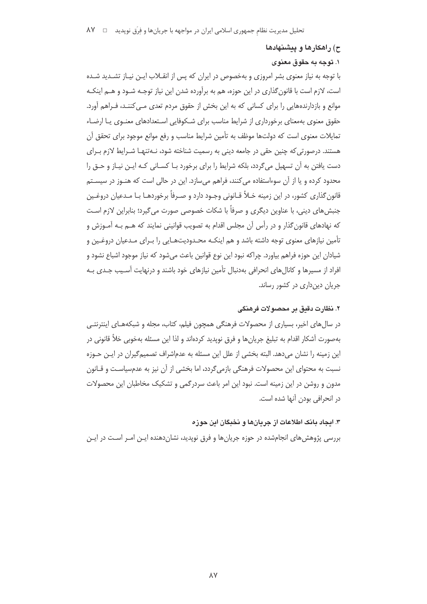### ح) راهکارها و پیشنهادها

# ۱. توجه به حقوق معنوی

با توجه به نیاز معنوی بشر امروزی و بهخصوص در ایران که پس از انقـلاب ایـن نیـاز تشـدید شـده است، لازم است با قانون گذاری در این حوزه، هم به برآورده شدن این نیاز توجـه شـود و هـم اینکـه موانع و بازدارندههایی را برای کسانی که به این بخش از حقوق مردم تعدی مـی کننـد، فـراهم آورد. حقوق معنوی بهمعنای برخورداری از شرایط مناسب برای شـکوفایی اسـتعدادهای معنــوی یــا ارضــاء تمایلات معنوی است که دولتها موظف به تأمین شرایط مناسب و رفع موانع موجود برای تحقق آن هستند. درصورتی که چنین حقی در جامعه دینی به رسمیت شناخته شود، نـهتنهـا شـرایط لازم بـرای دست یافتن به آن تسهیل می گردد، بلکه شرایط را برای برخورد بـا کسـانی کـه ایـن نیـاز و حـق را محدود کرده و یا از آن سوءاستفاده می کنند، فراهم می سازد. این در حالی است که هنـوز در سیسـتم قانون گذاری کشور، در این زمینه خـلأ قـانونی وجـود دارد و صـرفاً برخوردهـا بـا مـدعیان دروغـین جنبش های دینی، با عناوین دیگری و صرفاً با شکات خصوصی صورت می گیرد؛ بنابراین لازم اسـت که نهادهای قانون گذار و در رأس آن مجلس اقدام به تصویب قوانینی نمایند که هــم بــه آمــوزش و تأمین نیازهای معنوی توجه داشته باشد و هم اینکـه محـدودیتهـایی را بـرای مـدعیان دروغـین و شیادان این جوزه فراهم بیاورد. چراکه نبود این نوع قوانین باعث می شود که نیاز موجود اشباع نشود و افراد از مسیرها و کانالهای انحرافی بهدنبال تأمین نیازهای خود باشند و درنهایت آسیب جـدی بـه جریان دین داری در کشور رساند.

## ۲. نظارت دقيق بر محصولات فرهنگي

در سالهای اخیر، بسیاری از محصولات فرهنگی همچون فیلم، کتاب، مجله و شبکههـای اینترنتـی بهصورت آشکار اقدام به تبلیغ جریان ها و فرق نویدید کردهاند و لذا این مسئله بهخوبی خلأ قانونی در این زمینه را نشان می دهد. البته بخشی از علل این مسئله به عدماشراف تصمیم گیران در ایـن حـوزه نسبت به محتوای این محصولات فرهنگی بازمی گردد، اما بخشی از آن نیز به عدمسیاست و قـانون مدون و روشن در این زمینه است. نبود این امر باعث سردرگمی و تشکیک مخاطبان این محصولات در انحرافی بودن آنها شده است.

### ۳. ایجاد بانک اطلاعات از جریانها و نخبگان این حوزه

بررسی پژوهش های انجامشده در حوزه جریان ها و فرق نویدید، نشان دهنده ایـن امـر اسـت در ایـن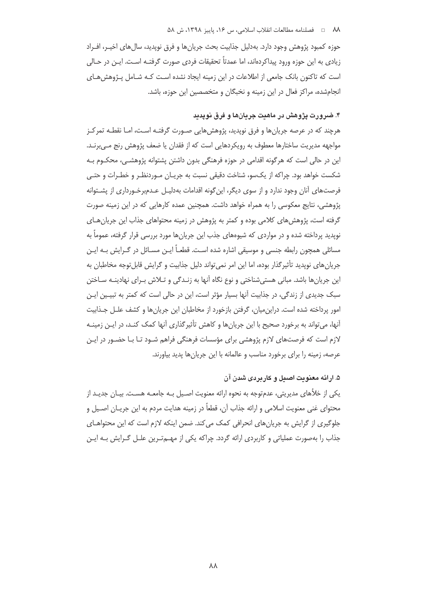#### ٨٨ = فصلنامه مطالعات انقلاب اسلامي، س ١۶، ياييز ١٣٩٨، ش ٥٨

حوزه كمبود پژوهش وجود دارد. بهدليل جذابيت بحث جريانها و فرق نويديد، سالهاي اخيـر، افـراد زبادی به این حوزه ورود پیداکردهاند، اما عمدتاً تحقیقات فردی صورت گرفتـه اسـت. ایـن در حـالی است که تاکنون بانک جامعی از اطلاعات در این زمینه ایجاد نشده است کـه شـامل پـژوهش هـای انجامشده، مراکز فعال در این زمینه و نخبگان و متخصصین این حوزه، باشد.

# ۴. ضرورت پژوهش در ماهیت جریانها و فرق نویدید

هرچند که در عرصه جریانها و فرق نویدید، پژوهش هایی صـورت گرفتـه اسـت، امـا نقطـه تمرکـز مواجهه مدیریت ساختارها معطوف به رویکردهایی است که از فقدان یا ضعف پژوهش رنج مے برنـد. این در حالی است که هرگونه اقدامی در حوزه فرهنگی بدون داشتن پشتوانه پژوهشـی، محکـوم بـه شکست خواهد بود. چراکه از یکسو، شناخت دقیقی نسبت به جریـان مـوردنظـر و خطـرات و حتـی فرصتهای آنان وجود ندارد و از سوی دیگر، این گونه اقدامات بهدلیـل عـدمبرخـورداری از پشـتوانه پژوهشی، نتایج معکوسی را به همراه خواهد داشت. همچنین عمده کارهایی که در این زمینه صورت گرفته است، پژوهش های کلامی بوده و کمتر به پژوهش در زمینه محتواهای جذاب این جریان هـای نویدید پرداخته شده و در مواردی که شیوههای جذب این جریانها مورد بررسی قرار گرفته، عموماً به مسائلی همچون رابطه جنسی و موسیقی اشاره شده اسـت. قطعـاً ایــن مســائل در گــرایش بــه ایــن جریان های نوپدید تأثیرگذار بوده، اما این امر نمی تواند دلیل جذابیت و گرایش قابل توجه مخاطبان به این جریانها باشد. مبانی هستی شناختی و نوع نگاه آنها به زنـدگی و تـلاش بـرای نهادینـه سـاختن سبک جدیدی از زندگی، در جذابیت آنها بسیار مؤثر است، این در حالی است که کمتر به تبیـین ایـن امور پرداخته شده است. دراین میان، گرفتن بازخورد از مخاطبان این جریان ها و کشف علـل جـذابیت آنها، میتواند به برخورد صحیح با این جریانها و کاهش تأثیرگذاری آنها کمک کنـد، در ایـن زمینـه لازم است که فرصتهای لازم پژوهشی برای مؤسسات فرهنگی فراهم شـود تـا بـا حضـور در ایـن عرصه، زمینه را برای برخورد مناسب و عالمانه با این جریانها پدید بیاورند.

## ۵. ارائه معنویت اصبل و کاربردی شدن آن

یکی از خلأهای مدیریتی، عدمتوجه به نحوه ارائه معنویت اصـیل بـه جامعـه هسـت. بیـان جدیـد از محتوای غنی معنویت اسلامی و ارائه جذاب آن، قطعاً در زمینه هدایت مردم به این جریـان اصـیل و جلوگیری از گرایش به جریان های انحرافی کمک می کند. ضمن اینکه لازم است که این محتواهـای جذاب را بهصورت عملیاتی و کاربردی ارائه گردد. چراکه یکی از مهـمتـرین علـل گـرایش بـه ایـن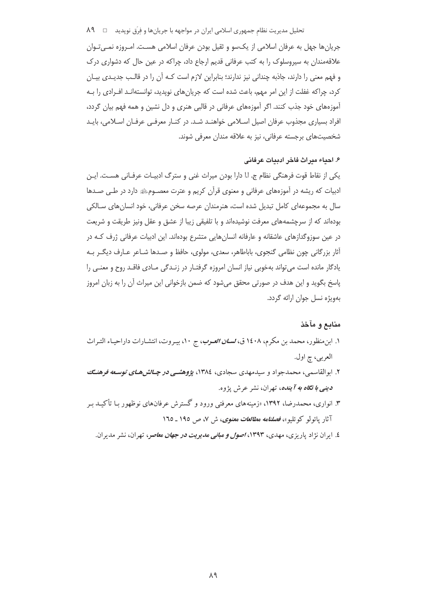تحلیل مدیریت نظام جمهوری اسلامی ایران در مواجهه با جریانها و فِرَق نوپدید □ ۸۹

جریان ها جهل به عرفان اسلامی از یک سو و ثقیل بودن عرفان اسلامی هسـت. امـروزه نمـی تـوان علاقهمندان به سیروسلوک را به کتب عرفانی قدیم ارجاع داد، چراکه در عین حال که دشواری درک و فهم معنی را دارند، جاذبه چندانی نیز ندارند؛ بنابراین لازم است کـه آن را در قالـب جدیـدی بیـان کرد، چراکه غفلت از این امر مهم، باعث شده است که جریانهای نوپدید، توانستهانـد افـرادی را بـه آموزههای خود جذب کنند. اگر آموزههای عرفانی در قالبی هنری و دل نشین و همه فهم بیان گردد، افراد بسیاری مجذوب عرفان اصیل اسـلامی خواهنـد شـد. در کنـار معرفـی عرفـان اسـلامی، بایـد شخصیتهای برجسته عرفانی، نیز به علاقه مندان معرفی شوند.

### ۶. احياء ميراث فاخر ادبيات عرفاني

يكي از نقاط قوت فرهنگي نظام ج. ا.ا دارا بودن ميراث غني و سترگ ادبيـات عرفـاني هسـت. ايـن ادبیات که ریشه در آموزههای عرفانی و معنوی قرآن کریم و عترت معصـومﷺ دارد در طـی صـدها سال به مجموعهای کامل تبدیل شده است، هنرمندان عرصه سخن عرفانی، خود انسان های سـالکی بودهاند که از سرچشمههای معرفت نوشیدهاند و با تلفیقی زیبا از عشق و عقل ونیز طریقت و شریعت در عین سوزوگدازهای عاشقانه و عارفانه انسانهایی متشرع بودهاند. این ادبیات عرفانی ژرف کـه در أثار بزرگانی چون نظامی گنجوی، باباطاهر، سعدی، مولوی، حافظ و صـدها شــاعر عــارف دیگــر بــه یادگار مانده است می تواند بهخوبی نیاز انسان امروزه گرفتـار در زنـدگی مـادی فاقـد روح و معنـی را پاسخ بگوید و این هدف در صورتی محقق میشود که ضمن بازخوانی این میراث آن را به زبان امروز بهویژه نسل جوان ارائه گردد.

### منابع و مآخذ

- ۱. ابن منظور، محمد بن مكرم، ۱٤۰۸ ق، *نسـان العـرب*، ج ۱۰، بيـروت، انتشـارات داراحيـاء التـراث العربي، چ اول.
- ۲. ابوالقاسمی، محمدجواد و سیدمهدی سجادی، ۱۳۸٤، پژوهشمی *در چـالش هـای توسـعه فرهنـگ دینے ، با نگاه به آینده*، تهران، نشر عرش پژوه.
- ۳. انواری، محمدرضا، ۱۳۹۲، «زمینههای معرفتی ورود و گسترش عرفانهای نوظهور بـا تأکیـد بـر آثار یائولو کوئلیو»، *فصلنامه مطالعات معنوی*، ش ۷، ص ۱۹۵ ـ ۱۷۵
	- ٤. ایران نژاد یاریزی، مهدی، ۱۳۹۳، *اصول و مبانی مدیریت در جهان معاص*ر، تهران، نشر مدیران.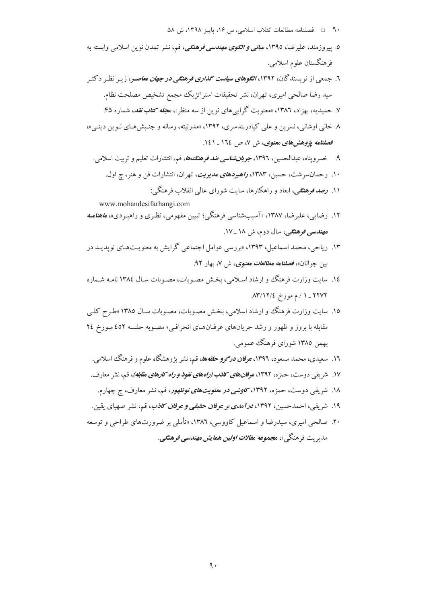٥. پیروزمند، علیرضا، ١٣٩٥، م*بانی و الگوی مهندسی فرهنگی*، قم، نشر تمدن نوین اسلامی وابسته به فر هنگستان علو م اسلامي. ٦. جمعی از نویسندگان، ۱۳۹۲، *الگوهای سیاست گذاری فرهنگی در جهان معاص*ر، زیـر نظـر دکتـر سید رضا صالحی امیری، تهران، نشر تحقیقات استراتژیک مجمع تشخیص مصلحت نظام. ۷. حمیدیه، بهزاد، ۱۳۸۲، «معنویت گرای<sub>ی</sub>های نوین از سه منظر»، م*جله کتاب نقد*، شماره ۴۵. ۸. خاني اوشاني، نسرين و علي كيادربندسري، ۱۳۹۲، «مدرنيته، رسانه و جنبش هـاي نـوين دينـي»، فصلنامه یژوهشهای معنوی، ش ۷، ص ١٦٤ ـ ١٤١. ۹. خسرویناه، عبدالحسین، ۱۳۹۶، *جویانشناسی ضد فرهنگ&*، قم، انتشارات تعلیم و تربیت اسلامی. ۱۰. رحمانسرشت، حسین، ۱۳۸۳، *راهبردهای مدیریت*، تهران، انتشارات فن و هنر، ج اول. ۱۱. *رصه فوهنگی،* ابعاد و راهکارها، سایت شورای عالمی انقلاب فرهنگی: www.mohandesifarhangi.com ۱۲. رضایه <sub>،</sub>، علیرضا، ۱۳۸۷، «آسیبشناسی فرهنگی؛ تبیین مفهومی، نظری و راهبـردی»، *ماهنامـه* مه*ندسی فرهنگی*، سال دوم، ش ۱۸ ـ ۱۷. ۱۳. ریاحی، محمد اسماعیل، ۱۳۹۳، «بررسی عوامل اجتماعی گرایش به معنویتهای نویدیید در سن جوانان»، فصلنامه م*طالعات معنوي*، ش V، بهار ۹۲. ۱٤. سايت وزارت فرهنگ و ارشاد اسلامي، بخش مصـوبات، مصـوبات سـال ١٣٨٤ نامـه شـماره  $\Lambda$ ۳/۱۲/٤ - ۱ / م مورخ  $\Lambda$ ۲/۱۲/۴ ۱۵. سایت وزارت فرهنگ و ارشاد اسلامی، بخش مصوبات، مصوبات سال ۱۳۸۵ «طرح کلبی مقابله با بروز و ظهور و رشد جریان های عرفیان هیای انحراف<sub>، "</sub> مصبو به جلسیه ٤٥٢ میورخ ٢٤ بهمن ۱۳۸۵ شورای فرهنگ عمومی. ۱۲. سعیدی، محمد مسعود، ۱۳۹۲، *عرفان درگوو حلقهها*، قم، نشر پژوهشگاه علوم و فرهنگ اسلامی. ۱۷. شر بفی دوست، حمزه، ۱۳۹۲، عوف*ان های کاذب (راههای نفوذ و راه کار های مقابله)*، قم، نشر معار ف. ۱۸. شریفی دوست، حمزه، ۱۳۹۲، *کاوشی در معنویتهای نوظهور*، قم، نشر معارف، چ چهارم. ۱۹. شریفی، احمدحسین، ۱۳۹۲، *درآمدی بر عرفان حقیقی و عرفان کاذب*، قم، نشر صهبای یقین. ۲۰. صالحي اميري، سيدرضا و اسماعيل كاووسي، ١٣٨٦، «تأملي بر ضرورتهاي طراحي و توسعه مديريت فرهنگي»، مجمو*عه مقالات اولين همايش مهندسي ف*ره*نگي*.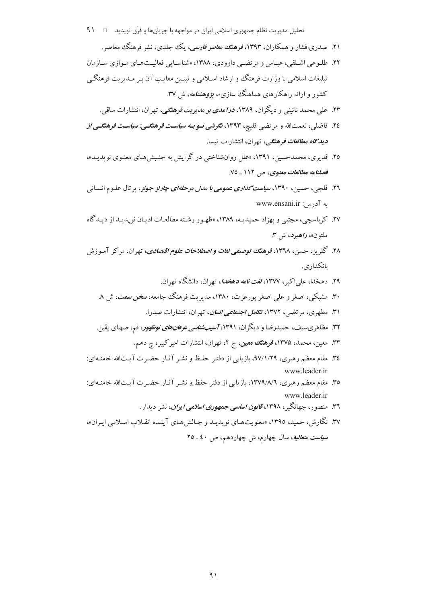- تحلیل مدیریت نظام جمهوری اسلامی ایران در مواجهه با جریانها و فِرَق نوپدید ⊥ ۹۱
	- ۲۱. صدریافشار و همکاران، ۱۳۹۳، *فوهنگ معاصو فارسی*، یک جلدی، نشر فرهنگ معاصر.
- ۲۲. طلوعی اشلقی، عباس و مرتضبی داوودی، ۱۳۸۸، «شناسایی فعالیتهای موازی سازمان تبلیغات اسلامی با وزارت فرهنگ و ارشاد اسلامی و تبیـین معایـب آن بـر مـدیریت فرهنگـی کشور و ارائه راهکارهای هماهنگ سازی»، پژ**وه***شنامه***،** ش ۳۷.
	- ۲۳. علي محمد نائيني و ديگران، ۱۳۸۹، *درآمدي بو مديويت فوهنگي،* تهران، انتشارات ساقي.
- ۲٤. فاضلی، نعمتالله و مرتضی قلیچ، ۱۳۹۳، *نگرشی نــو بـه سیاسـت فرهنگـــی: سیاسـت فرهنگـــ<sub>ـه</sub> از* **دی***دگاه مطالعات فرهنگی،* **تهران، انتشارات تیسا**.
- ۲۵. قدیری، محمدحسین، ۱۳۹۱، «علل روانشناختی در گرایش به جنبش هـای معنـوی نویدیــد»، فصلنامه مطالعات معنوی، ص ١١٢ ـ ٧٥.
- ۲٦. قلجی، حسین، ۱۳۹۰، *سیاست گذاری عمومی با مدل مرحلهای چارلز جونز*، پر تال علـوم انســانی به آدرس: www.ensani.ir
- ۲۷. کرباسچی، مجتبی و بهزاد حمیدیـه، ۱۳۸۹، «ظهـور رشـته مطالعـات ادیـان نویدیـد از دیـدگاه ملتون»، واهيود، ش ٣.
- ۲۸. گلر بز، حسن، ۱۳٦۸، فوهن*گ توصیفی لغات و اصطلاحات علوم اقتصادی*، تهران، مرکز آموزش ىانكدار ي.
	- ۲۹. دهخدا، علي/کبر، ۱۳۷۷، *لغت نامه دهخدا*، تهران، دانشگاه تهران.
	- ۳۰. مشبکی، اصغر و علی اصغر پورعزت، ۱۳۸۰، مدیریت فرهنگ جامعه، *سخن سمت*، ش ۸.
		- ۳۱. مطهری، مرتضی، ۱۳۷۲، ت*کامل اجتماعی انسان*، تهران، انتشارات صدرا.
	- ۳۲. مظاهری سیف، حمیدرضا و دیگران، ۱۳۹۱، *آسیبشناسی عرفانهای نوظهور*، قم، صهبای یقین.
		- ۳۳. معین، محمد، ۱۳۷۵، فوهنگ معین، ج ۲، تهران، انتشارات امیرکبیر، چ دهم.
- ۳٤. مقام معظم رهبري، ٩٧/١/٢٩، بازيابي از دفتـر حفـظ و نشـر آثـار حضـرت آيـتالله خامنـهاي: www.leader.ir
- ۳۵. مقام معظم رهبری، ۱۳۷۹/۸/٦، بازیابی از دفتر حفظ و نشـر آثـار حضـرت آیـتالله خامنـهای: www.leader.ir
	- ۳٦. منصور، جهانگیر، ۱۳۹۸، *قانون اساسی جمهوری اسلامی ایران*، نشر دیدار.
- ۳۷. نگارش، حمید، ۱۳۹٥، «معنویتهـای نوپدیـد و چـالش هـای آینـده انقـلاب اسـلامی ایـران»، س*یاست متعالیه*، سال چهارم، ش چهاردهم، ص ٤٠ ـ ٢٥